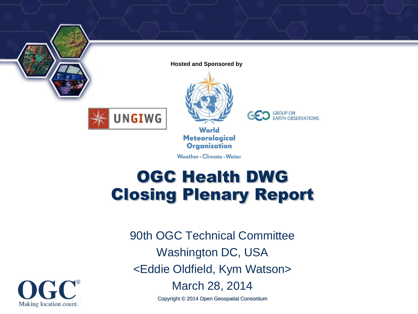

**Hosted and Sponsored by**



**UNGIWG** 

**World Meteorological Organization** 

Weather . Climate . Water

**CO** GROUP ON EARTH OBSERVATIONS

#### OGC Health DWG Closing Plenary Report

90th OGC Technical Committee Washington DC, USA <Eddie Oldfield, Kym Watson>



March 28, 2014

Copyright © 2014 Open Geospatial Consortium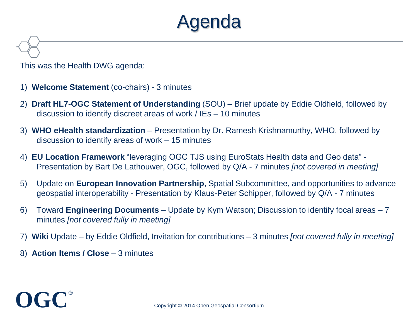### Agenda

This was the Health DWG agenda:

- 1) **Welcome Statement** (co-chairs) 3 minutes
- 2) **Draft HL7-OGC Statement of Understanding** (SOU) Brief update by Eddie Oldfield, followed by discussion to identify discreet areas of work / IEs – 10 minutes
- 3) **WHO eHealth standardization**  Presentation by Dr. Ramesh Krishnamurthy, WHO, followed by discussion to identify areas of work – 15 minutes
- 4) **EU Location Framework** "leveraging OGC TJS using EuroStats Health data and Geo data" Presentation by Bart De Lathouwer, OGC, followed by Q/A - 7 minutes *[not covered in meeting]*
- 5) Update on **European Innovation Partnership**, Spatial Subcommittee, and opportunities to advance geospatial interoperability - Presentation by Klaus-Peter Schipper, followed by Q/A - 7 minutes
- 6) Toward **Engineering Documents**  Update by Kym Watson; Discussion to identify focal areas 7 minutes *[not covered fully in meeting]*
- 7) **Wiki** Update by Eddie Oldfield, Invitation for contributions 3 minutes *[not covered fully in meeting]*
- 8) **Action Items / Close** 3 minutes

# **OGC®**